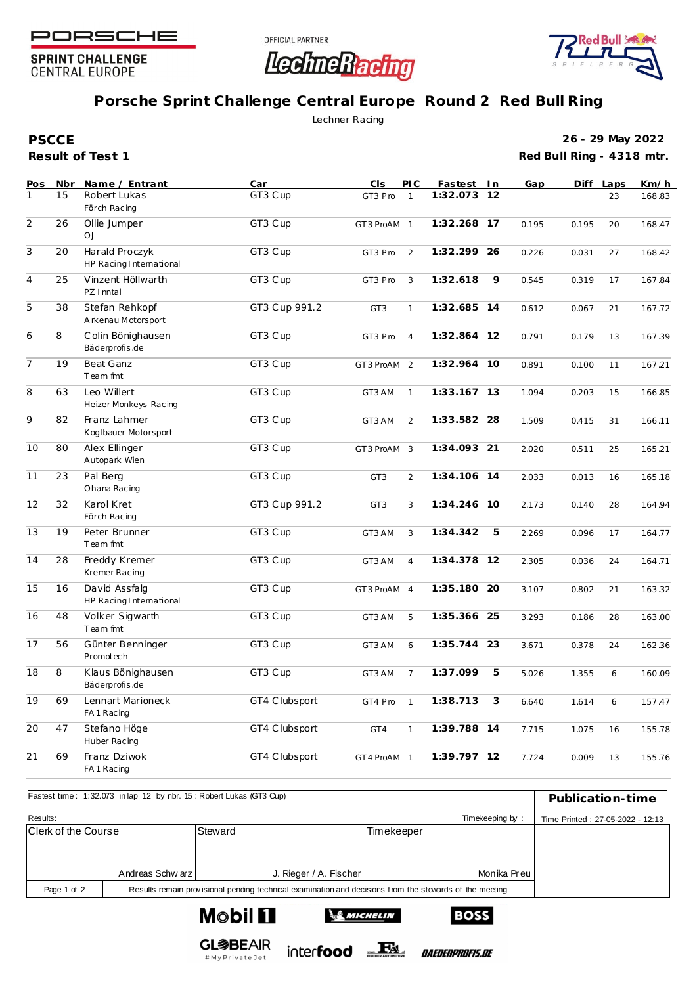

**SPRINT CHALLENGE CENTRAL EUROPE** 





## **Porsche Sprint Challenge Central Europe Round 2 Red Bull Ring**

Lechner Racing

**Result of Test 1 PSCCE**

**26 - 29 May 2022 Red Bull Ring - 4318 mtr.**

| Pos            | Nbr | Name / Entrant                            | Car           | <b>CIS</b>      | PI C           | Fastest In  |           | Gap   | Diff  | Laps | Km/h   |
|----------------|-----|-------------------------------------------|---------------|-----------------|----------------|-------------|-----------|-------|-------|------|--------|
| $\mathbf{1}$   | 15  | Robert Lukas<br>Förch Racing              | GT3 Cup       | GT3 Pro         | $\mathbf{1}$   | 1:32.073    | 12        |       |       | 23   | 168.83 |
| $\overline{2}$ | 26  | Ollie Jumper<br><b>OJ</b>                 | GT3 Cup       | GT3 ProAM 1     |                | 1:32.268    | 17        | 0.195 | 0.195 | 20   | 168.47 |
| $\overline{3}$ | 20  | Harald Proczyk<br>HP Racing International | GT3 Cup       | GT3 Pro         | 2              | 1:32.299 26 |           | 0.226 | 0.031 | 27   | 168.42 |
| $\overline{4}$ | 25  | Vinzent Höllwarth<br>PZ I nntal           | GT3 Cup       | GT3 Pro         | 3              | 1:32.618    | 9         | 0.545 | 0.319 | 17   | 167.84 |
| 5              | 38  | Stefan Rehkopf<br>Arkenau Motorsport      | GT3 Cup 991.2 | GT <sub>3</sub> | $\mathbf{1}$   | 1:32.685    | 14        | 0.612 | 0.067 | 21   | 167.72 |
| 6              | 8   | Colin Bönighausen<br>Bäderprofis.de       | GT3 Cup       | GT3 Pro         | $\overline{4}$ | 1:32.864    | <b>12</b> | 0.791 | 0.179 | 13   | 167.39 |
| $\overline{7}$ | 19  | Beat Ganz<br>Team fmt                     | GT3 Cup       | GT3 ProAM 2     |                | 1:32.964 10 |           | 0.891 | 0.100 | 11   | 167.21 |
| 8              | 63  | Leo Willert<br>Heizer Monkeys Racing      | GT3 Cup       | GT3 AM          | $\mathbf{1}$   | 1:33.167 13 |           | 1.094 | 0.203 | 15   | 166.85 |
| 9              | 82  | Franz Lahmer<br>Koglbauer Motorsport      | GT3 Cup       | GT3 AM          | 2              | 1:33.582 28 |           | 1.509 | 0.415 | 31   | 166.11 |
| 10             | 80  | Alex Ellinger<br>Autopark Wien            | GT3 Cup       | GT3 ProAM 3     |                | 1:34.093 21 |           | 2.020 | 0.511 | 25   | 165.21 |
| 11             | 23  | Pal Berg<br>Ohana Racing                  | GT3 Cup       | GT <sub>3</sub> | $\overline{2}$ | 1:34.106 14 |           | 2.033 | 0.013 | 16   | 165.18 |
| 12             | 32  | Karol Kret<br>Förch Racing                | GT3 Cup 991.2 | GT <sub>3</sub> | 3              | 1:34.246 10 |           | 2.173 | 0.140 | 28   | 164.94 |
| 13             | 19  | Peter Brunner<br>Team fmt                 | GT3 Cup       | GT3 AM          | 3              | 1:34.342    | 5         | 2.269 | 0.096 | 17   | 164.77 |
| 14             | 28  | Freddy Kremer<br>Kremer Racing            | GT3 Cup       | GT3 AM          | $\overline{4}$ | 1:34.378    | -12       | 2.305 | 0.036 | 24   | 164.71 |
| 15             | 16  | David Assfalg<br>HP Racing International  | GT3 Cup       | GT3 ProAM 4     |                | 1:35.180 20 |           | 3.107 | 0.802 | 21   | 163.32 |
| 16             | 48  | Volker Sigwarth<br>Team fmt               | GT3 Cup       | GT3 AM          | 5              | 1:35.366 25 |           | 3.293 | 0.186 | 28   | 163.00 |
| 17             | 56  | Günter Benninger<br>Promotech             | GT3 Cup       | GT3 AM          | 6              | 1:35.744    | 23        | 3.671 | 0.378 | 24   | 162.36 |
| 18             | 8   | Klaus Bönighausen<br>Bäderprofis.de       | GT3 Cup       | GT3 AM          | $\overline{7}$ | 1:37.099    | 5         | 5.026 | 1.355 | 6    | 160.09 |
| 19             | 69  | Lennart Marioneck<br>FA 1 Racing          | GT4 Clubsport | GT4 Pro         | $\mathbf{1}$   | 1:38.713    | 3         | 6.640 | 1.614 | 6    | 157.47 |
| 20             | 47  | Stefano Höge<br>Huber Racing              | GT4 Clubsport | GT4             | $\mathbf{1}$   | 1:39.788 14 |           | 7.715 | 1.075 | 16   | 155.78 |
| 21             | 69  | Franz Dziwok<br>FA 1 Racing               | GT4 Clubsport | GT4 ProAM 1     |                | 1:39.797 12 |           | 7.724 | 0.009 | 13   | 155.76 |

| Fastest time: 1:32.073 in lap 12 by nbr. 15: Robert Lukas (GT3 Cup) | Publication-time                                                                                        |                                  |            |              |  |  |  |
|---------------------------------------------------------------------|---------------------------------------------------------------------------------------------------------|----------------------------------|------------|--------------|--|--|--|
| Results:                                                            | Timekeeping by:                                                                                         | Time Printed: 27-05-2022 - 12:13 |            |              |  |  |  |
| <b>Clerk of the Course</b>                                          |                                                                                                         | Steward                          | Timekeeper |              |  |  |  |
|                                                                     |                                                                                                         |                                  |            |              |  |  |  |
|                                                                     | Andreas Schw arz                                                                                        | J. Rieger / A. Fischer           |            | Monika Preul |  |  |  |
| Page 1 of 2                                                         | Results remain provisional pending technical examination and decisions from the stewards of the meeting |                                  |            |              |  |  |  |
|                                                                     |                                                                                                         |                                  |            |              |  |  |  |



#MyPrivateJet



inter**food** FRA



*BAEDERPROFIS.DE*